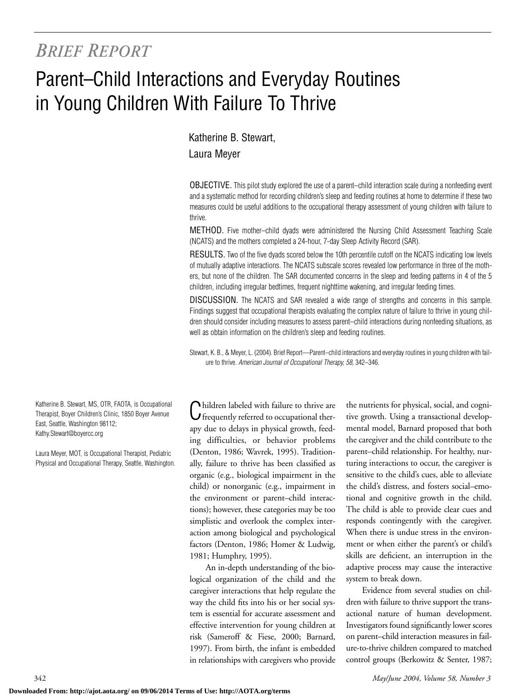## *BRIEF REPORT*

# Parent–Child Interactions and Everyday Routines in Young Children With Failure To Thrive

### Katherine B. Stewart, Laura Meyer

OBJECTIVE. This pilot study explored the use of a parent–child interaction scale during a nonfeeding event and a systematic method for recording children's sleep and feeding routines at home to determine if these two measures could be useful additions to the occupational therapy assessment of young children with failure to thrive.

METHOD. Five mother–child dyads were administered the Nursing Child Assessment Teaching Scale (NCATS) and the mothers completed a 24-hour, 7-day Sleep Activity Record (SAR).

RESULTS. Two of the five dyads scored below the 10th percentile cutoff on the NCATS indicating low levels of mutually adaptive interactions. The NCATS subscale scores revealed low performance in three of the mothers, but none of the children. The SAR documented concerns in the sleep and feeding patterns in 4 of the 5 children, including irregular bedtimes, frequent nighttime wakening, and irregular feeding times.

DISCUSSION. The NCATS and SAR revealed a wide range of strengths and concerns in this sample. Findings suggest that occupational therapists evaluating the complex nature of failure to thrive in young children should consider including measures to assess parent–child interactions during nonfeeding situations, as well as obtain information on the children's sleep and feeding routines.

Stewart, K. B., & Meyer, L. (2004). Brief Report—Parent–child interactions and everyday routines in young children with failure to thrive. *American Journal of Occupational Therapy, 58,* 342–346.

Katherine B. Stewart, MS, OTR, FAOTA, is Occupational Therapist, Boyer Children's Clinic, 1850 Boyer Avenue East, Seattle, Washington 98112; Kathy.Stewart@boyercc.org

Laura Meyer, MOT, is Occupational Therapist, Pediatric Physical and Occupational Therapy, Seattle, Washington.

Inildren labeled with failure to thrive are Ifrequently referred to occupational therapy due to delays in physical growth, feeding difficulties, or behavior problems (Denton, 1986; Wavrek, 1995). Traditionally, failure to thrive has been classified as organic (e.g., biological impairment in the child) or nonorganic (e.g., impairment in the environment or parent–child interactions); however, these categories may be too simplistic and overlook the complex interaction among biological and psychological factors (Denton, 1986; Homer & Ludwig, 1981; Humphry, 1995).

An in-depth understanding of the biological organization of the child and the caregiver interactions that help regulate the way the child fits into his or her social system is essential for accurate assessment and effective intervention for young children at risk (Sameroff & Fiese, 2000; Barnard, 1997). From birth, the infant is embedded in relationships with caregivers who provide the nutrients for physical, social, and cognitive growth. Using a transactional developmental model, Barnard proposed that both the caregiver and the child contribute to the parent–child relationship. For healthy, nurturing interactions to occur, the caregiver is sensitive to the child's cues, able to alleviate the child's distress, and fosters social–emotional and cognitive growth in the child. The child is able to provide clear cues and responds contingently with the caregiver. When there is undue stress in the environment or when either the parent's or child's skills are deficient, an interruption in the adaptive process may cause the interactive system to break down.

Evidence from several studies on children with failure to thrive support the transactional nature of human development. Investigators found significantly lower scores on parent–child interaction measures in failure-to-thrive children compared to matched control groups (Berkowitz & Senter, 1987;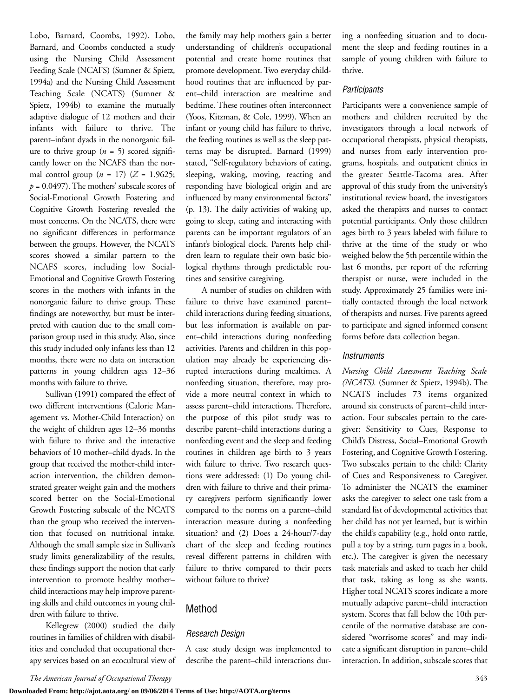Lobo, Barnard, Coombs, 1992). Lobo, Barnard, and Coombs conducted a study using the Nursing Child Assessment Feeding Scale (NCAFS) (Sumner & Spietz, 1994a) and the Nursing Child Assessment Teaching Scale (NCATS) (Sumner & Spietz, 1994b) to examine the mutually adaptive dialogue of 12 mothers and their infants with failure to thrive. The parent–infant dyads in the nonorganic failure to thrive group  $(n = 5)$  scored significantly lower on the NCAFS than the normal control group ( $n = 17$ ) ( $Z = 1.9625$ ;  $p = 0.0497$ ). The mothers' subscale scores of Social-Emotional Growth Fostering and Cognitive Growth Fostering revealed the most concerns. On the NCATS, there were no significant differences in performance between the groups. However, the NCATS scores showed a similar pattern to the NCAFS scores, including low Social-Emotional and Cognitive Growth Fostering scores in the mothers with infants in the nonorganic failure to thrive group. These findings are noteworthy, but must be interpreted with caution due to the small comparison group used in this study. Also, since this study included only infants less than 12 months, there were no data on interaction patterns in young children ages 12–36 months with failure to thrive.

Sullivan (1991) compared the effect of two different interventions (Calorie Management vs. Mother-Child Interaction) on the weight of children ages 12–36 months with failure to thrive and the interactive behaviors of 10 mother–child dyads. In the group that received the mother-child interaction intervention, the children demonstrated greater weight gain and the mothers scored better on the Social-Emotional Growth Fostering subscale of the NCATS than the group who received the intervention that focused on nutritional intake. Although the small sample size in Sullivan's study limits generalizability of the results, these findings support the notion that early intervention to promote healthy mother– child interactions may help improve parenting skills and child outcomes in young children with failure to thrive.

Kellegrew (2000) studied the daily routines in families of children with disabilities and concluded that occupational therapy services based on an ecocultural view of the family may help mothers gain a better understanding of children's occupational potential and create home routines that promote development. Two everyday childhood routines that are influenced by parent–child interaction are mealtime and bedtime. These routines often interconnect (Yoos, Kitzman, & Cole, 1999). When an infant or young child has failure to thrive, the feeding routines as well as the sleep patterns may be disrupted. Barnard (1999) stated, "Self-regulatory behaviors of eating, sleeping, waking, moving, reacting and responding have biological origin and are influenced by many environmental factors" (p. 13). The daily activities of waking up, going to sleep, eating and interacting with parents can be important regulators of an infant's biological clock. Parents help children learn to regulate their own basic biological rhythms through predictable routines and sensitive caregiving.

A number of studies on children with failure to thrive have examined parent– child interactions during feeding situations, but less information is available on parent–child interactions during nonfeeding activities. Parents and children in this population may already be experiencing disrupted interactions during mealtimes. A nonfeeding situation, therefore, may provide a more neutral context in which to assess parent–child interactions. Therefore, the purpose of this pilot study was to describe parent–child interactions during a nonfeeding event and the sleep and feeding routines in children age birth to 3 years with failure to thrive. Two research questions were addressed: (1) Do young children with failure to thrive and their primary caregivers perform significantly lower compared to the norms on a parent–child interaction measure during a nonfeeding situation? and (2) Does a 24-hour/7-day chart of the sleep and feeding routines reveal different patterns in children with failure to thrive compared to their peers without failure to thrive?

#### Method

#### *Research Design*

A case study design was implemented to describe the parent–child interactions during a nonfeeding situation and to document the sleep and feeding routines in a sample of young children with failure to thrive.

#### *Participants*

Participants were a convenience sample of mothers and children recruited by the investigators through a local network of occupational therapists, physical therapists, and nurses from early intervention programs, hospitals, and outpatient clinics in the greater Seattle-Tacoma area. After approval of this study from the university's institutional review board, the investigators asked the therapists and nurses to contact potential participants. Only those children ages birth to 3 years labeled with failure to thrive at the time of the study or who weighed below the 5th percentile within the last 6 months, per report of the referring therapist or nurse, were included in the study. Approximately 25 families were initially contacted through the local network of therapists and nurses. Five parents agreed to participate and signed informed consent forms before data collection began.

#### *Instruments*

*Nursing Child Assessment Teaching Scale (NCATS).* (Sumner & Spietz, 1994b). The NCATS includes 73 items organized around six constructs of parent–child interaction. Four subscales pertain to the caregiver: Sensitivity to Cues, Response to Child's Distress, Social–Emotional Growth Fostering, and Cognitive Growth Fostering. Two subscales pertain to the child: Clarity of Cues and Responsiveness to Caregiver. To administer the NCATS the examiner asks the caregiver to select one task from a standard list of developmental activities that her child has not yet learned, but is within the child's capability (e.g., hold onto rattle, pull a toy by a string, turn pages in a book, etc.). The caregiver is given the necessary task materials and asked to teach her child that task, taking as long as she wants. Higher total NCATS scores indicate a more mutually adaptive parent–child interaction system. Scores that fall below the 10th percentile of the normative database are considered "worrisome scores" and may indicate a significant disruption in parent–child interaction. In addition, subscale scores that

*The American Journal of Occupational Therapy* 343

**Downloaded From: http://ajot.aota.org/ on 09/06/2014 Terms of Use: http://AOTA.org/terms**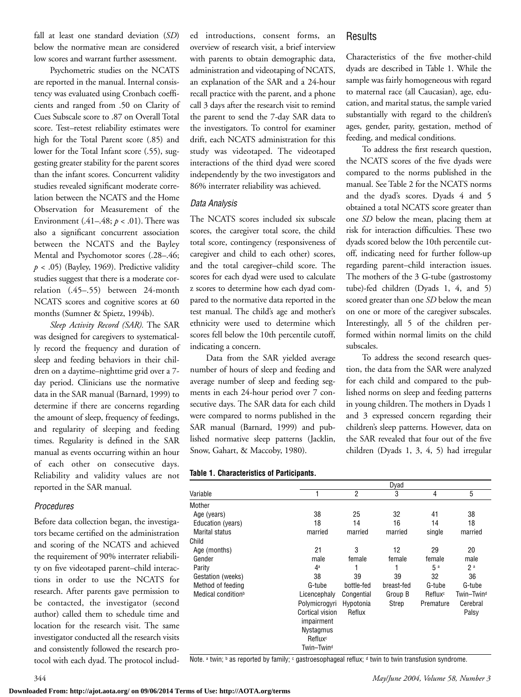fall at least one standard deviation (*SD*) below the normative mean are considered low scores and warrant further assessment.

Psychometric studies on the NCATS are reported in the manual. Internal consistency was evaluated using Cronbach coefficients and ranged from .50 on Clarity of Cues Subscale score to .87 on Overall Total score. Test–retest reliability estimates were high for the Total Parent score (.85) and lower for the Total Infant score (.55), suggesting greater stability for the parent scores than the infant scores. Concurrent validity studies revealed significant moderate correlation between the NCATS and the Home Observation for Measurement of the Environment (.41–.48; *p* < .01). There was also a significant concurrent association between the NCATS and the Bayley Mental and Psychomotor scores (.28–.46;  $p < .05$ ) (Bayley, 1969). Predictive validity studies suggest that there is a moderate correlation (.45–.55) between 24-month NCATS scores and cognitive scores at 60 months (Sumner & Spietz, 1994b).

*Sleep Activity Record (SAR).* The SAR was designed for caregivers to systematically record the frequency and duration of sleep and feeding behaviors in their children on a daytime–nighttime grid over a 7 day period. Clinicians use the normative data in the SAR manual (Barnard, 1999) to determine if there are concerns regarding the amount of sleep, frequency of feedings, and regularity of sleeping and feeding times. Regularity is defined in the SAR manual as events occurring within an hour of each other on consecutive days. Reliability and validity values are not reported in the SAR manual.

#### *Procedures*

Before data collection began, the investigators became certified on the administration and scoring of the NCATS and achieved the requirement of 90% interrater reliability on five videotaped parent–child interactions in order to use the NCATS for research. After parents gave permission to be contacted, the investigator (second author) called them to schedule time and location for the research visit. The same investigator conducted all the research visits and consistently followed the research protocol with each dyad. The protocol included introductions, consent forms, an overview of research visit, a brief interview with parents to obtain demographic data, administration and videotaping of NCATS, an explanation of the SAR and a 24-hour recall practice with the parent, and a phone call 3 days after the research visit to remind the parent to send the 7-day SAR data to the investigators. To control for examiner drift, each NCATS administration for this study was videotaped. The videotaped interactions of the third dyad were scored independently by the two investigators and 86% interrater reliability was achieved.

#### *Data Analysis*

The NCATS scores included six subscale scores, the caregiver total score, the child total score, contingency (responsiveness of caregiver and child to each other) scores, and the total caregiver–child score. The scores for each dyad were used to calculate z scores to determine how each dyad compared to the normative data reported in the test manual. The child's age and mother's ethnicity were used to determine which scores fell below the 10th percentile cutoff, indicating a concern.

Data from the SAR yielded average number of hours of sleep and feeding and average number of sleep and feeding segments in each 24-hour period over 7 consecutive days. The SAR data for each child were compared to norms published in the SAR manual (Barnard, 1999) and published normative sleep patterns (Jacklin, Snow, Gahart, & Maccoby, 1980).

#### **Table 1. Characteristics of Participants.**

|                                |                        | <b>Dyad</b>    |              |                     |                        |  |  |  |
|--------------------------------|------------------------|----------------|--------------|---------------------|------------------------|--|--|--|
| Variable                       | 1                      | $\overline{2}$ | 3            | 4                   | 5                      |  |  |  |
| Mother                         |                        |                |              |                     |                        |  |  |  |
| Age (years)                    | 38                     | 25             | 32           | 41                  | 38                     |  |  |  |
| Education (years)              | 18                     | 14             | 16           | 14                  | 18                     |  |  |  |
| Marital status                 | married                | married        | married      | single              | married                |  |  |  |
| Child                          |                        |                |              |                     |                        |  |  |  |
| Age (months)                   | 21                     | 3              | 12<br>female | 29<br>female        | 20<br>male             |  |  |  |
| Gender                         | male                   | female         |              |                     |                        |  |  |  |
| Parity                         | 4 <sup>a</sup>         |                |              | 5a                  | 2 <sup>a</sup>         |  |  |  |
| Gestation (weeks)              | 38                     | 39             | 39           | 32                  | 36                     |  |  |  |
| Method of feeding              | G-tube                 | bottle-fed     | breast-fed   | G-tube              | G-tube                 |  |  |  |
| Medical condition <sup>b</sup> | Licencephaly           | Congential     | Group B      | Reflux <sup>c</sup> | Twin-Twin <sup>d</sup> |  |  |  |
|                                | Polymicrogyri          | Hypotonia      | Strep        | Premature           | Cerebral               |  |  |  |
|                                | Cortical vision        | Reflux         |              |                     | Palsy                  |  |  |  |
|                                | impairment             |                |              |                     |                        |  |  |  |
|                                | <b>Nystagmus</b>       |                |              |                     |                        |  |  |  |
|                                | Reflux <sup>c</sup>    |                |              |                     |                        |  |  |  |
|                                | Twin-Twin <sup>d</sup> |                |              |                     |                        |  |  |  |

Note. a twin; b as reported by family; c gastroesophageal reflux; d twin to twin transfusion syndrome.

Results

Characteristics of the five mother-child dyads are described in Table 1. While the sample was fairly homogeneous with regard to maternal race (all Caucasian), age, education, and marital status, the sample varied substantially with regard to the children's ages, gender, parity, gestation, method of feeding, and medical conditions.

To address the first research question, the NCATS scores of the five dyads were compared to the norms published in the manual. See Table 2 for the NCATS norms and the dyad's scores. Dyads 4 and 5 obtained a total NCATS score greater than one *SD* below the mean, placing them at risk for interaction difficulties. These two dyads scored below the 10th percentile cutoff, indicating need for further follow-up regarding parent–child interaction issues. The mothers of the 3 G-tube (gastrostomy tube)-fed children (Dyads 1, 4, and 5) scored greater than one *SD* below the mean on one or more of the caregiver subscales. Interestingly, all 5 of the children performed within normal limits on the child subscales.

To address the second research question, the data from the SAR were analyzed for each child and compared to the published norms on sleep and feeding patterns in young children. The mothers in Dyads 1 and 3 expressed concern regarding their children's sleep patterns. However, data on the SAR revealed that four out of the five children (Dyads 1, 3, 4, 5) had irregular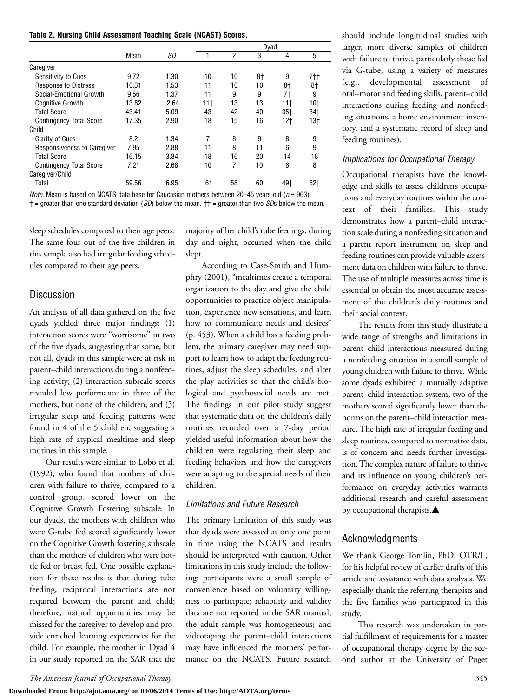|  |  | Table 2. Nursing Child Assessment Teaching Scale (NCAST) Scores. |  |  |  |  |
|--|--|------------------------------------------------------------------|--|--|--|--|
|--|--|------------------------------------------------------------------|--|--|--|--|

|                                    |       |      |                 | Dyad |    |                 |                 |  |
|------------------------------------|-------|------|-----------------|------|----|-----------------|-----------------|--|
|                                    | Mean  | SD   |                 | 2    | 3  | 4               | 5               |  |
| Caregiver                          |       |      |                 |      |    |                 |                 |  |
| Sensitivity to Cues                | 9.72  | 1.30 | 10              | 10   | 8† | 9               | 7††             |  |
| <b>Response to Distress</b>        | 10.31 | 1.53 | 11              | 10   | 10 | 8†              | 8†              |  |
| Social-Emotional Growth            | 9.56  | 1.37 | 11              | 9    | 9  | 7†              | 9               |  |
| <b>Coanitive Growth</b>            | 13.82 | 2.64 | 11 <sup>†</sup> | 13   | 13 | 11 <sup>†</sup> | 10†             |  |
| <b>Total Score</b>                 | 43.41 | 5.09 | 43              | 42   | 40 | $35+$           | 34†             |  |
| <b>Contingency Total Score</b>     | 17.35 | 2.90 | 18              | 15   | 16 | 12†             | 13 <sub>†</sub> |  |
| Child                              |       |      |                 |      |    |                 |                 |  |
| <b>Clarity of Cues</b>             | 8.2   | 1.34 | 7               | 8    | 9  | 8               | 9               |  |
| <b>Responsiveness to Caregiver</b> | 7.95  | 2.88 | 11              | 8    | 11 | 6               | 9               |  |
| <b>Total Score</b>                 | 16.15 | 3.84 | 18              | 16   | 20 | 14              | 18              |  |
| <b>Contingency Total Score</b>     | 7.21  | 2.68 | 10              | 7    | 10 | 6               | 8               |  |
| Caregiver/Child                    |       |      |                 |      |    |                 |                 |  |
| Total                              | 59.56 | 6.95 | 61              | 58   | 60 | 49+             | 52 <sub>1</sub> |  |

*Note.* Mean is based on NCATS data base for Caucasian mothers between 20–45 years old (*n* = 963).

† = greater than one standard deviation (*SD*) below the mean. †† = greater than two *SD*s below the mean.

sleep schedules compared to their age peers. The same four out of the five children in this sample also had irregular feeding schedules compared to their age peers.

#### **Discussion**

An analysis of all data gathered on the five dyads yielded three major findings: (1) interaction scores were "worrisome" in two of the five dyads, suggesting that some, but not all, dyads in this sample were at risk in parent–child interactions during a nonfeeding activity; (2) interaction subscale scores revealed low performance in three of the mothers, but none of the children; and (3) irregular sleep and feeding patterns were found in 4 of the 5 children, suggesting a high rate of atypical mealtime and sleep routines in this sample.

Our results were similar to Lobo et al. (1992), who found that mothers of children with failure to thrive, compared to a control group, scored lower on the Cognitive Growth Fostering subscale. In our dyads, the mothers with children who were G-tube fed scored significantly lower on the Cognitive Growth fostering subscale than the mothers of children who were bottle fed or breast fed. One possible explanation for these results is that during tube feeding, reciprocal interactions are not required between the parent and child; therefore, natural opportunities may be missed for the caregiver to develop and provide enriched learning experiences for the child. For example, the mother in Dyad 4 in our study reported on the SAR that the

majority of her child's tube feedings, during day and night, occurred when the child slept.

According to Case-Smith and Humphry (2001), "mealtimes create a temporal organization to the day and give the child opportunities to practice object manipulation, experience new sensations, and learn how to communicate needs and desires" (p. 453). When a child has a feeding problem, the primary caregiver may need support to learn how to adapt the feeding routines, adjust the sleep schedules, and alter the play activities so that the child's biological and psychosocial needs are met. The findings in our pilot study suggest that systematic data on the children's daily routines recorded over a 7-day period yielded useful information about how the children were regulating their sleep and feeding behaviors and how the caregivers were adapting to the special needs of their children.

#### *Limitations and Future Research*

The primary limitation of this study was that dyads were assessed at only one point in time using the NCATS and results should be interpreted with caution. Other limitations in this study include the following: participants were a small sample of convenience based on voluntary willingness to participate; reliability and validity data are not reported in the SAR manual, the adult sample was homogeneous; and videotaping the parent–child interactions may have influenced the mothers' performance on the NCATS. Future research

should include longitudinal studies with larger, more diverse samples of children with failure to thrive, particularly those fed via G-tube, using a variety of measures (e.g., developmental assessment of oral–motor and feeding skills, parent–child interactions during feeding and nonfeeding situations, a home environment inventory, and a systematic record of sleep and feeding routines).

#### *Implications for Occupational Therapy*

Occupational therapists have the knowledge and skills to assess children's occupations and everyday routines within the context of their families. This study demonstrates how a parent–child interaction scale during a nonfeeding situation and a parent report instrument on sleep and feeding routines can provide valuable assessment data on children with failure to thrive. The use of multiple measures across time is essential to obtain the most accurate assessment of the children's daily routines and their social context.

The results from this study illustrate a wide range of strengths and limitations in parent–child interactions measured during a nonfeeding situation in a small sample of young children with failure to thrive. While some dyads exhibited a mutually adaptive parent–child interaction system, two of the mothers scored significantly lower than the norms on the parent–child interaction measure. The high rate of irregular feeding and sleep routines, compared to normative data, is of concern and needs further investigation. The complex nature of failure to thrive and its influence on young children's performance on everyday activities warrants additional research and careful assessment by occupational therapists.▲

#### Acknowledgments

We thank George Tomlin, PhD, OTR/L, for his helpful review of earlier drafts of this article and assistance with data analysis. We especially thank the referring therapists and the five families who participated in this study.

This research was undertaken in partial fulfillment of requirements for a master of occupational therapy degree by the second author at the University of Puget

**Downloaded From: http://ajot.aota.org/ on 09/06/2014 Terms of Use: http://AOTA.org/terms**